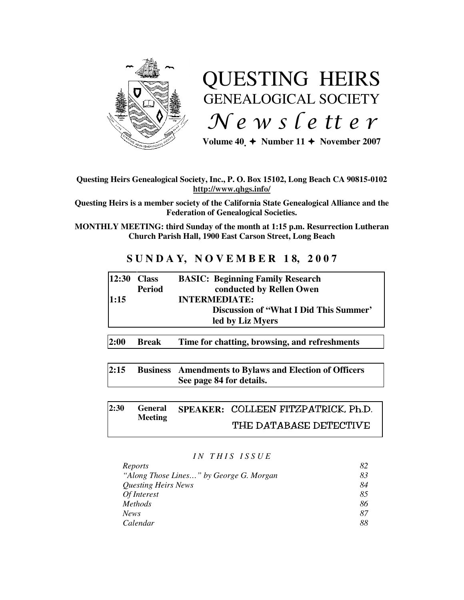

# QUESTING HEIRS GENEALOGICAL SOCIETY  $Ne$  w s letter

Volume  $40 \div \text{Number 11} \div \text{November 2007}$ 

## **Questing Heirs Genealogical Society, Inc., P. O. Box 15102, Long Beach CA 90815-0102 http://www.qhgs.info/**

**Questing Heirs is a member society of the California State Genealogical Alliance and the Federation of Genealogical Societies.** 

**MONTHLY MEETING: third Sunday of the month at 1:15 p.m. Resurrection Lutheran Church Parish Hall, 1900 East Carson Street, Long Beach** 

## **S U N D A Y, N O V E M B E R 1 8, 2 0 0 7**

| conducted by Rellen Owen<br><b>Period</b> |  |
|-------------------------------------------|--|
|                                           |  |
| <b>INTERMEDIATE:</b><br>1:15              |  |
| Discussion of "What I Did This Summer"    |  |
| led by Liz Myers                          |  |

**2:00 Break Time for chatting, browsing, and refreshments** 

**2:15 Business Amendments to Bylaws and Election of Officers See page 84 for details.** 

#### **2:30 General Meeting SPEAKER: COLLEEN FITZPATRICK, Ph.D.** THE DATABASE DETECTIVE

## *I N T H I S I S S U E*

| Reports                                 | 82 |
|-----------------------------------------|----|
| "Along Those Lines" by George G. Morgan | 83 |
| Questing Heirs News                     | 84 |
| Of Interest                             | 85 |
| <i>Methods</i>                          | 86 |
| <b>News</b>                             | 87 |
| Calendar                                | 88 |
|                                         |    |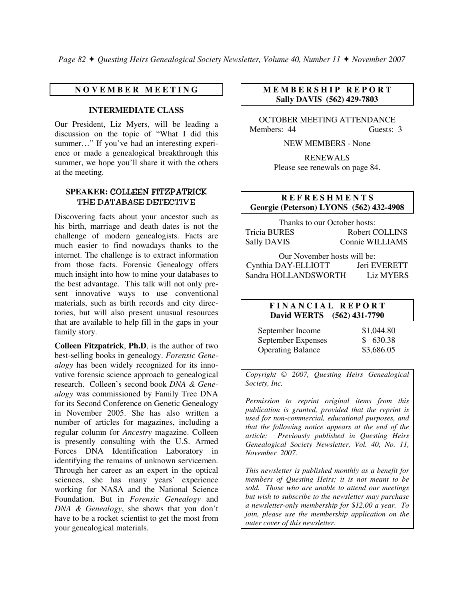*Page 82 Questing Heirs Genealogical Society Newsletter, Volume 40, Number 11 November 2007*

## **N O V E M B E R M E E T I N G**

## **INTERMEDIATE CLASS**

Our President, Liz Myers, will be leading a discussion on the topic of "What I did this summer…" If you've had an interesting experience or made a genealogical breakthrough this summer, we hope you'll share it with the others at the meeting.

## **SPEAKER:** COLLEEN FITZPATRICK THE DATABASE DETECTIVE

Discovering facts about your ancestor such as his birth, marriage and death dates is not the challenge of modern genealogists. Facts are much easier to find nowadays thanks to the internet. The challenge is to extract information from those facts. Forensic Genealogy offers much insight into how to mine your databases to the best advantage. This talk will not only present innovative ways to use conventional materials, such as birth records and city directories, but will also present unusual resources that are available to help fill in the gaps in your family story.

**Colleen Fitzpatrick**, **Ph.D**, is the author of two best-selling books in genealogy. *Forensic Genealogy* has been widely recognized for its innovative forensic science approach to genealogical research. Colleen's second book *DNA & Genealogy* was commissioned by Family Tree DNA for its Second Conference on Genetic Genealogy in November 2005. She has also written a number of articles for magazines, including a regular column for *Ancestry* magazine. Colleen is presently consulting with the U.S. Armed Forces DNA Identification Laboratory in identifying the remains of unknown servicemen. Through her career as an expert in the optical sciences, she has many years' experience working for NASA and the National Science Foundation. But in *Forensic Genealogy* and *DNA & Genealogy*, she shows that you don't have to be a rocket scientist to get the most from your genealogical materials.

## **M E M B E R S H I P R E P O R T Sally DAVIS (562) 429-7803**

OCTOBER MEETING ATTENDANCE Members: 44 Guests: 3

NEW MEMBERS - None

RENEWALS Please see renewals on page 84.

## **R E F R E S H M E N T S Georgie (Peterson) LYONS (562) 432-4908**

Thanks to our October hosts: Tricia BURES Robert COLLINS Sally DAVIS Connie WILLIAMS

Our November hosts will be: Cynthia DAY-ELLIOTT Jeri EVERETT Sandra HOLLANDSWORTH Liz MYERS

### **F I N A N C I A L R E P O R T David WERTS (562) 431-7790**

| September Income         | \$1,044.80 |
|--------------------------|------------|
| September Expenses       | \$630.38   |
| <b>Operating Balance</b> | \$3,686.05 |

*Copyright* © *2007, Questing Heirs Genealogical Society, Inc.* 

*Permission to reprint original items from this publication is granted, provided that the reprint is used for non-commercial, educational purposes, and that the following notice appears at the end of the article: Previously published in Questing Heirs Genealogical Society Newsletter, Vol. 40, No. 11, November 2007.* 

*This newsletter is published monthly as a benefit for members of Questing Heirs; it is not meant to be sold. Those who are unable to attend our meetings but wish to subscribe to the newsletter may purchase a newsletter-only membership for \$12.00 a year. To join, please use the membership application on the outer cover of this newsletter.*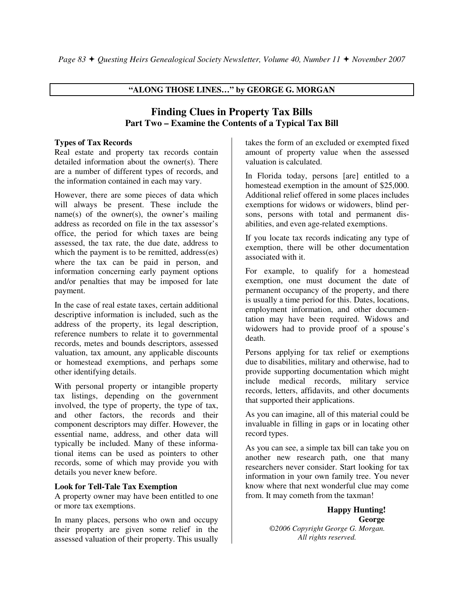## **"ALONG THOSE LINES…" by GEORGE G. MORGAN**

## **Finding Clues in Property Tax Bills Part Two – Examine the Contents of a Typical Tax Bill**

#### **Types of Tax Records**

Real estate and property tax records contain detailed information about the owner(s). There are a number of different types of records, and the information contained in each may vary.

However, there are some pieces of data which will always be present. These include the name(s) of the owner(s), the owner's mailing address as recorded on file in the tax assessor's office, the period for which taxes are being assessed, the tax rate, the due date, address to which the payment is to be remitted, address(es) where the tax can be paid in person, and information concerning early payment options and/or penalties that may be imposed for late payment.

In the case of real estate taxes, certain additional descriptive information is included, such as the address of the property, its legal description, reference numbers to relate it to governmental records, metes and bounds descriptors, assessed valuation, tax amount, any applicable discounts or homestead exemptions, and perhaps some other identifying details.

With personal property or intangible property tax listings, depending on the government involved, the type of property, the type of tax, and other factors, the records and their component descriptors may differ. However, the essential name, address, and other data will typically be included. Many of these informational items can be used as pointers to other records, some of which may provide you with details you never knew before.

#### **Look for Tell-Tale Tax Exemption**

A property owner may have been entitled to one or more tax exemptions.

In many places, persons who own and occupy their property are given some relief in the assessed valuation of their property. This usually

takes the form of an excluded or exempted fixed amount of property value when the assessed valuation is calculated.

In Florida today, persons [are] entitled to a homestead exemption in the amount of \$25,000. Additional relief offered in some places includes exemptions for widows or widowers, blind persons, persons with total and permanent disabilities, and even age-related exemptions.

If you locate tax records indicating any type of exemption, there will be other documentation associated with it.

For example, to qualify for a homestead exemption, one must document the date of permanent occupancy of the property, and there is usually a time period for this. Dates, locations, employment information, and other documentation may have been required. Widows and widowers had to provide proof of a spouse's death.

Persons applying for tax relief or exemptions due to disabilities, military and otherwise, had to provide supporting documentation which might include medical records, military service records, letters, affidavits, and other documents that supported their applications.

As you can imagine, all of this material could be invaluable in filling in gaps or in locating other record types.

As you can see, a simple tax bill can take you on another new research path, one that many researchers never consider. Start looking for tax information in your own family tree. You never know where that next wonderful clue may come from. It may cometh from the taxman!

> **Happy Hunting! George**  *©2006 Copyright George G. Morgan. All rights reserved.*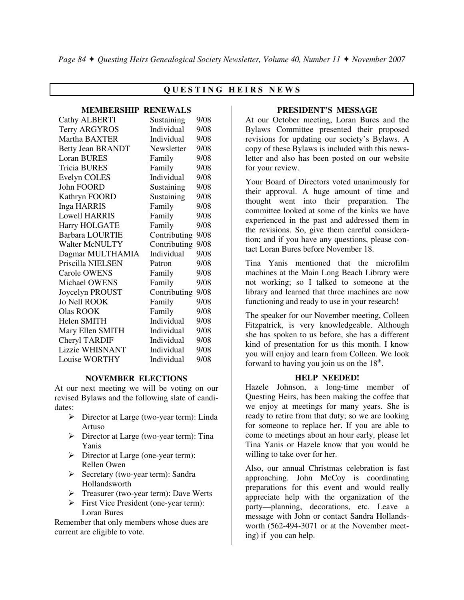## **Q U E S T I N G H E I R S N E W S**

#### **MEMBERSHIP RENEWALS**

| <b>Cathy ALBERTI</b>     | Sustaining   | 9/08 |
|--------------------------|--------------|------|
| <b>Terry ARGYROS</b>     | Individual   | 9/08 |
| Martha BAXTER            | Individual   | 9/08 |
| <b>Betty Jean BRANDT</b> | Newsletter   | 9/08 |
| <b>Loran BURES</b>       | Family       | 9/08 |
| <b>Tricia BURES</b>      | Family       | 9/08 |
| Evelyn COLES             | Individual   | 9/08 |
| John FOORD               | Sustaining   | 9/08 |
| Kathryn FOORD            | Sustaining   | 9/08 |
| <b>Inga HARRIS</b>       | Family       | 9/08 |
| <b>Lowell HARRIS</b>     | Family       | 9/08 |
| <b>Harry HOLGATE</b>     | Family       | 9/08 |
| <b>Barbara LOURTIE</b>   | Contributing | 9/08 |
| <b>Walter McNULTY</b>    | Contributing | 9/08 |
| Dagmar MULTHAMIA         | Individual   | 9/08 |
| Priscilla NIELSEN        | Patron       | 9/08 |
| Carole OWENS             | Family       | 9/08 |
| Michael OWENS            | Family       | 9/08 |
| Joycelyn PROUST          | Contributing | 9/08 |
| <b>Jo Nell ROOK</b>      | Family       | 9/08 |
| <b>Olas ROOK</b>         | Family       | 9/08 |
| Helen SMITH              | Individual   | 9/08 |
| Mary Ellen SMITH         | Individual   | 9/08 |
| <b>Cheryl TARDIF</b>     | Individual   | 9/08 |
| Lizzie WHISNANT          | Individual   | 9/08 |
| Louise WORTHY            | Individual   | 9/08 |

## **NOVEMBER ELECTIONS**

At our next meeting we will be voting on our revised Bylaws and the following slate of candidates:

- Director at Large (two-year term): Linda Artuso
- > Director at Large (two-year term): Tina Yanis
- Director at Large (one-year term): Rellen Owen
- Secretary (two-year term): Sandra Hollandsworth
- > Treasurer (two-year term): Dave Werts
- First Vice President (one-year term): Loran Bures

Remember that only members whose dues are current are eligible to vote.

### **PRESIDENT'S MESSAGE**

At our October meeting, Loran Bures and the Bylaws Committee presented their proposed revisions for updating our society's Bylaws. A copy of these Bylaws is included with this newsletter and also has been posted on our website for your review.

Your Board of Directors voted unanimously for their approval. A huge amount of time and thought went into their preparation. The committee looked at some of the kinks we have experienced in the past and addressed them in the revisions. So, give them careful consideration; and if you have any questions, please contact Loran Bures before November 18.

Tina Yanis mentioned that the microfilm machines at the Main Long Beach Library were not working; so I talked to someone at the library and learned that three machines are now functioning and ready to use in your research!

The speaker for our November meeting, Colleen Fitzpatrick, is very knowledgeable. Although she has spoken to us before, she has a different kind of presentation for us this month. I know you will enjoy and learn from Colleen. We look forward to having you join us on the  $18<sup>th</sup>$ .

#### **HELP NEEDED!**

Hazele Johnson, a long-time member of Questing Heirs, has been making the coffee that we enjoy at meetings for many years. She is ready to retire from that duty; so we are looking for someone to replace her. If you are able to come to meetings about an hour early, please let Tina Yanis or Hazele know that you would be willing to take over for her.

Also, our annual Christmas celebration is fast approaching. John McCoy is coordinating preparations for this event and would really appreciate help with the organization of the party—planning, decorations, etc. Leave a message with John or contact Sandra Hollandsworth (562-494-3071 or at the November meeting) if you can help.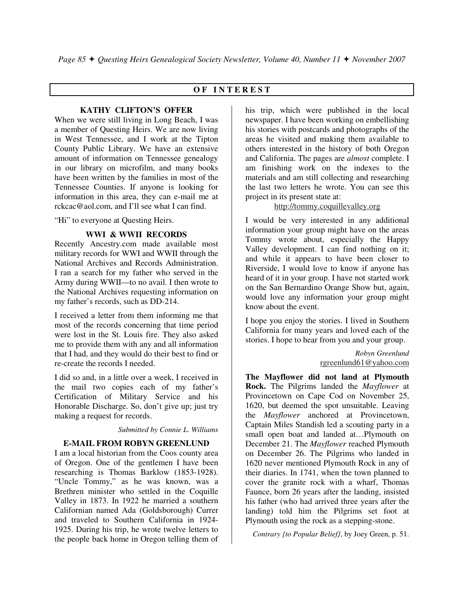## **O F I N T E R E S T**

#### **KATHY CLIFTON'S OFFER**

When we were still living in Long Beach, I was a member of Questing Heirs. We are now living in West Tennessee, and I work at the Tipton County Public Library. We have an extensive amount of information on Tennessee genealogy in our library on microfilm, and many books have been written by the families in most of the Tennessee Counties. If anyone is looking for information in this area, they can e-mail me at rckcac@aol.com, and I'll see what I can find.

"Hi" to everyone at Questing Heirs.

#### **WWI & WWII RECORDS**

Recently Ancestry.com made available most military records for WWI and WWII through the National Archives and Records Administration. I ran a search for my father who served in the Army during WWII—to no avail. I then wrote to the National Archives requesting information on my father's records, such as DD-214.

I received a letter from them informing me that most of the records concerning that time period were lost in the St. Louis fire. They also asked me to provide them with any and all information that I had, and they would do their best to find or re-create the records I needed.

I did so and, in a little over a week, I received in the mail two copies each of my father's Certification of Military Service and his Honorable Discharge. So, don't give up; just try making a request for records.

*Submitted by Connie L. Williams*

#### **E-MAIL FROM ROBYN GREENLUND**

I am a local historian from the Coos county area of Oregon. One of the gentlemen I have been researching is Thomas Barklow (1853-1928). "Uncle Tommy," as he was known, was a Brethren minister who settled in the Coquille Valley in 1873. In 1922 he married a southern Californian named Ada (Goldsborough) Currer and traveled to Southern California in 1924- 1925. During his trip, he wrote twelve letters to the people back home in Oregon telling them of

his trip, which were published in the local newspaper. I have been working on embellishing his stories with postcards and photographs of the areas he visited and making them available to others interested in the history of both Oregon and California. The pages are *almost* complete. I am finishing work on the indexes to the materials and am still collecting and researching the last two letters he wrote. You can see this project in its present state at:

### http://tommy.coquillevalley.org

I would be very interested in any additional information your group might have on the areas Tommy wrote about, especially the Happy Valley development. I can find nothing on it; and while it appears to have been closer to Riverside, I would love to know if anyone has heard of it in your group. I have not started work on the San Bernardino Orange Show but, again, would love any information your group might know about the event.

I hope you enjoy the stories. I lived in Southern California for many years and loved each of the stories. I hope to hear from you and your group.

> *Robyn Greenlund*  rgreenlund61@yahoo.com

**The Mayflower did not land at Plymouth Rock.** The Pilgrims landed the *Mayflower* at Provincetown on Cape Cod on November 25, 1620, but deemed the spot unsuitable. Leaving the *Mayflower* anchored at Provincetown, Captain Miles Standish led a scouting party in a small open boat and landed at…Plymouth on December 21. The *Mayflower* reached Plymouth on December 26. The Pilgrims who landed in 1620 never mentioned Plymouth Rock in any of their diaries. In 1741, when the town planned to cover the granite rock with a wharf, Thomas Faunce, born 26 years after the landing, insisted his father (who had arrived three years after the landing) told him the Pilgrims set foot at Plymouth using the rock as a stepping-stone.

*Contrary {to Popular Belief}*, by Joey Green, p. 51.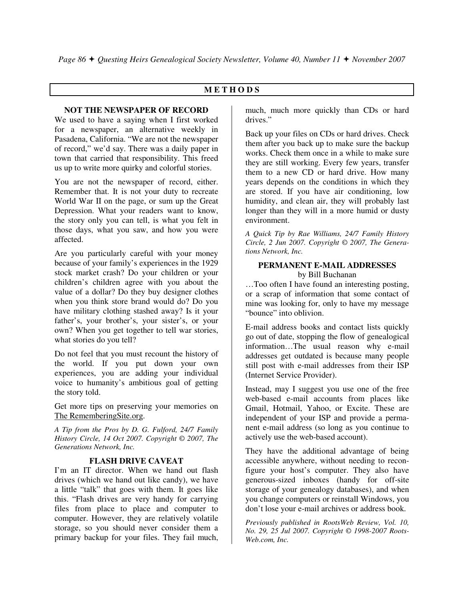## **M E T H O D S**

## **NOT THE NEWSPAPER OF RECORD**

We used to have a saying when I first worked for a newspaper, an alternative weekly in Pasadena, California. "We are not the newspaper of record," we'd say. There was a daily paper in town that carried that responsibility. This freed us up to write more quirky and colorful stories.

You are not the newspaper of record, either. Remember that. It is not your duty to recreate World War II on the page, or sum up the Great Depression. What your readers want to know, the story only you can tell, is what you felt in those days, what you saw, and how you were affected.

Are you particularly careful with your money because of your family's experiences in the 1929 stock market crash? Do your children or your children's children agree with you about the value of a dollar? Do they buy designer clothes when you think store brand would do? Do you have military clothing stashed away? Is it your father's, your brother's, your sister's, or your own? When you get together to tell war stories, what stories do you tell?

Do not feel that you must recount the history of the world. If you put down your own experiences, you are adding your individual voice to humanity's ambitious goal of getting the story told.

Get more tips on preserving your memories on The RememberingSite.org.

*A Tip from the Pros by D. G. Fulford, 24/7 Family History Circle, 14 Oct 2007. Copyright © 2007, The Generations Network, Inc.* 

## **FLASH DRIVE CAVEAT**

I'm an IT director. When we hand out flash drives (which we hand out like candy), we have a little "talk" that goes with them. It goes like this. "Flash drives are very handy for carrying files from place to place and computer to computer. However, they are relatively volatile storage, so you should never consider them a primary backup for your files. They fail much,

much, much more quickly than CDs or hard drives."

Back up your files on CDs or hard drives. Check them after you back up to make sure the backup works. Check them once in a while to make sure they are still working. Every few years, transfer them to a new CD or hard drive. How many years depends on the conditions in which they are stored. If you have air conditioning, low humidity, and clean air, they will probably last longer than they will in a more humid or dusty environment.

*A Quick Tip by Rae Williams, 24/7 Family History Circle, 2 Jun 2007. Copyright © 2007, The Generations Network, Inc.* 

#### **PERMANENT E-MAIL ADDRESSES**  by Bill Buchanan

…Too often I have found an interesting posting, or a scrap of information that some contact of mine was looking for, only to have my message "bounce" into oblivion.

E-mail address books and contact lists quickly go out of date, stopping the flow of genealogical information…The usual reason why e-mail addresses get outdated is because many people still post with e-mail addresses from their ISP (Internet Service Provider).

Instead, may I suggest you use one of the free web-based e-mail accounts from places like Gmail, Hotmail, Yahoo, or Excite. These are independent of your ISP and provide a permanent e-mail address (so long as you continue to actively use the web-based account).

They have the additional advantage of being accessible anywhere, without needing to reconfigure your host's computer. They also have generous-sized inboxes (handy for off-site storage of your genealogy databases), and when you change computers or reinstall Windows, you don't lose your e-mail archives or address book.

*Previously published in RootsWeb Review, Vol. 10, No. 29, 25 Jul 2007. Copyright © 1998-2007 Roots-Web.com, Inc.*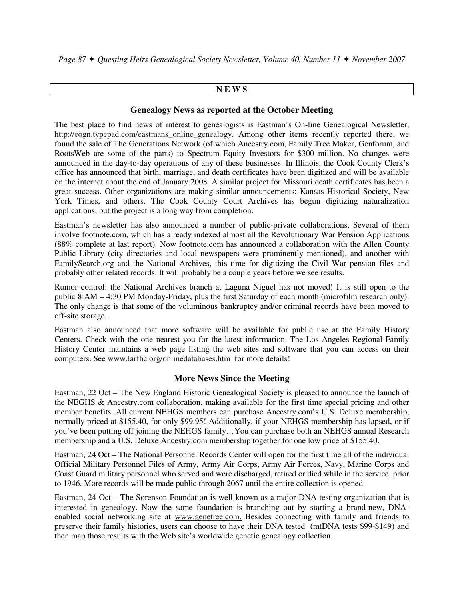*Page 87 Questing Heirs Genealogical Society Newsletter, Volume 40, Number 11 November 2007* 

## **N E W S**

## **Genealogy News as reported at the October Meeting**

The best place to find news of interest to genealogists is Eastman's On-line Genealogical Newsletter, http://eogn.typepad.com/eastmans\_online\_genealogy. Among other items recently reported there, we found the sale of The Generations Network (of which Ancestry.com, Family Tree Maker, Genforum, and RootsWeb are some of the parts) to Spectrum Equity Investors for \$300 million. No changes were announced in the day-to-day operations of any of these businesses. In Illinois, the Cook County Clerk's office has announced that birth, marriage, and death certificates have been digitized and will be available on the internet about the end of January 2008. A similar project for Missouri death certificates has been a great success. Other organizations are making similar announcements: Kansas Historical Society, New York Times, and others. The Cook County Court Archives has begun digitizing naturalization applications, but the project is a long way from completion.

Eastman's newsletter has also announced a number of public-private collaborations. Several of them involve footnote.com, which has already indexed almost all the Revolutionary War Pension Applications (88% complete at last report). Now footnote.com has announced a collaboration with the Allen County Public Library (city directories and local newspapers were prominently mentioned), and another with FamilySearch.org and the National Archives, this time for digitizing the Civil War pension files and probably other related records. It will probably be a couple years before we see results.

Rumor control: the National Archives branch at Laguna Niguel has not moved! It is still open to the public 8 AM – 4:30 PM Monday-Friday, plus the first Saturday of each month (microfilm research only). The only change is that some of the voluminous bankruptcy and/or criminal records have been moved to off-site storage.

Eastman also announced that more software will be available for public use at the Family History Centers. Check with the one nearest you for the latest information. The Los Angeles Regional Family History Center maintains a web page listing the web sites and software that you can access on their computers. See www.larfhc.org/onlinedatabases.htm for more details!

## **More News Since the Meeting**

Eastman, 22 Oct – The New England Historic Genealogical Society is pleased to announce the launch of the NEGHS & Ancestry.com collaboration, making available for the first time special pricing and other member benefits. All current NEHGS members can purchase Ancestry.com's U.S. Deluxe membership, normally priced at \$155.40, for only \$99.95! Additionally, if your NEHGS membership has lapsed, or if you've been putting off joining the NEHGS family…You can purchase both an NEHGS annual Research membership and a U.S. Deluxe Ancestry.com membership together for one low price of \$155.40.

Eastman, 24 Oct – The National Personnel Records Center will open for the first time all of the individual Official Military Personnel Files of Army, Army Air Corps, Army Air Forces, Navy, Marine Corps and Coast Guard military personnel who served and were discharged, retired or died while in the service, prior to 1946. More records will be made public through 2067 until the entire collection is opened.

Eastman, 24 Oct – The Sorenson Foundation is well known as a major DNA testing organization that is interested in genealogy. Now the same foundation is branching out by starting a brand-new, DNAenabled social networking site at www.genetree.com. Besides connecting with family and friends to preserve their family histories, users can choose to have their DNA tested (mtDNA tests \$99-\$149) and then map those results with the Web site's worldwide genetic genealogy collection.